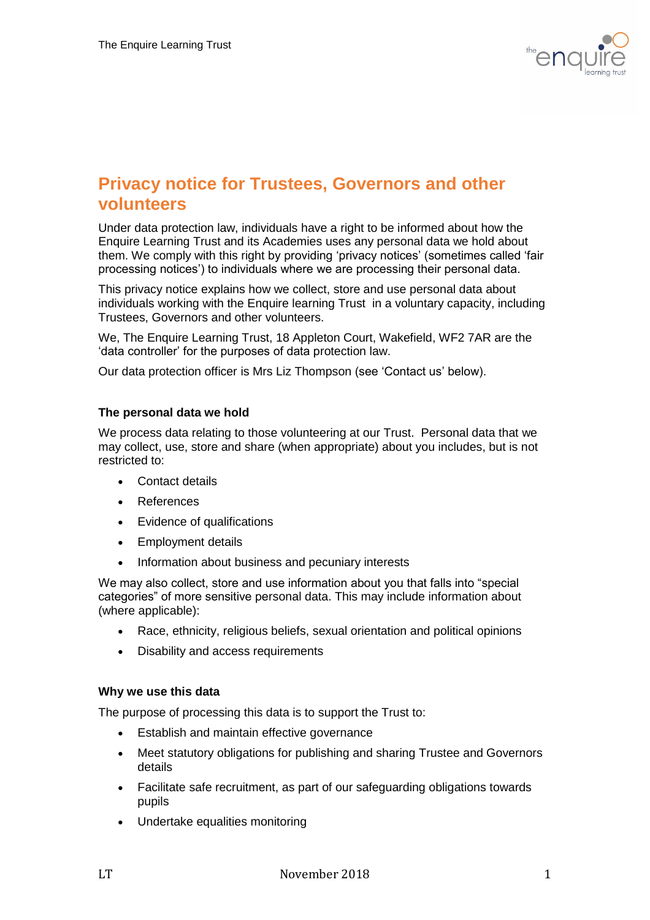

# **Privacy notice for Trustees, Governors and other volunteers**

Under data protection law, individuals have a right to be informed about how the Enquire Learning Trust and its Academies uses any personal data we hold about them. We comply with this right by providing 'privacy notices' (sometimes called 'fair processing notices') to individuals where we are processing their personal data.

This privacy notice explains how we collect, store and use personal data about individuals working with the Enquire learning Trust in a voluntary capacity, including Trustees, Governors and other volunteers.

We, The Enquire Learning Trust, 18 Appleton Court, Wakefield, WF2 7AR are the 'data controller' for the purposes of data protection law.

Our data protection officer is Mrs Liz Thompson (see 'Contact us' below).

## **The personal data we hold**

We process data relating to those volunteering at our Trust. Personal data that we may collect, use, store and share (when appropriate) about you includes, but is not restricted to:

- Contact details
- References
- Evidence of qualifications
- Employment details
- Information about business and pecuniary interests

We may also collect, store and use information about you that falls into "special categories" of more sensitive personal data. This may include information about (where applicable):

- Race, ethnicity, religious beliefs, sexual orientation and political opinions
- Disability and access requirements

## **Why we use this data**

The purpose of processing this data is to support the Trust to:

- Establish and maintain effective governance
- Meet statutory obligations for publishing and sharing Trustee and Governors details
- Facilitate safe recruitment, as part of our safeguarding obligations towards pupils
- Undertake equalities monitoring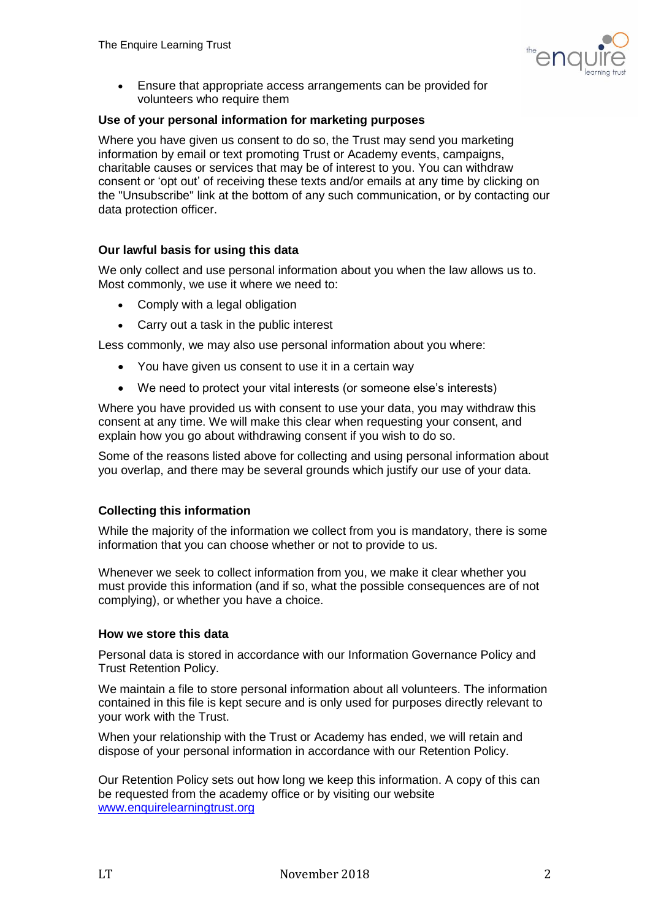

 Ensure that appropriate access arrangements can be provided for volunteers who require them

# **Use of your personal information for marketing purposes**

Where you have given us consent to do so, the Trust may send you marketing information by email or text promoting Trust or Academy events, campaigns, charitable causes or services that may be of interest to you. You can withdraw consent or 'opt out' of receiving these texts and/or emails at any time by clicking on the "Unsubscribe" link at the bottom of any such communication, or by contacting our data protection officer.

# **Our lawful basis for using this data**

We only collect and use personal information about you when the law allows us to. Most commonly, we use it where we need to:

- Comply with a legal obligation
- Carry out a task in the public interest

Less commonly, we may also use personal information about you where:

- You have given us consent to use it in a certain way
- We need to protect your vital interests (or someone else's interests)

Where you have provided us with consent to use your data, you may withdraw this consent at any time. We will make this clear when requesting your consent, and explain how you go about withdrawing consent if you wish to do so.

Some of the reasons listed above for collecting and using personal information about you overlap, and there may be several grounds which justify our use of your data.

# **Collecting this information**

While the majority of the information we collect from you is mandatory, there is some information that you can choose whether or not to provide to us.

Whenever we seek to collect information from you, we make it clear whether you must provide this information (and if so, what the possible consequences are of not complying), or whether you have a choice.

## **How we store this data**

Personal data is stored in accordance with our Information Governance Policy and Trust Retention Policy.

We maintain a file to store personal information about all volunteers. The information contained in this file is kept secure and is only used for purposes directly relevant to your work with the Trust.

When your relationship with the Trust or Academy has ended, we will retain and dispose of your personal information in accordance with our Retention Policy.

Our Retention Policy sets out how long we keep this information. A copy of this can be requested from the academy office or by visiting our website [www.enquirelearningtrust.org](http://www.enquirelearningtrust.org/)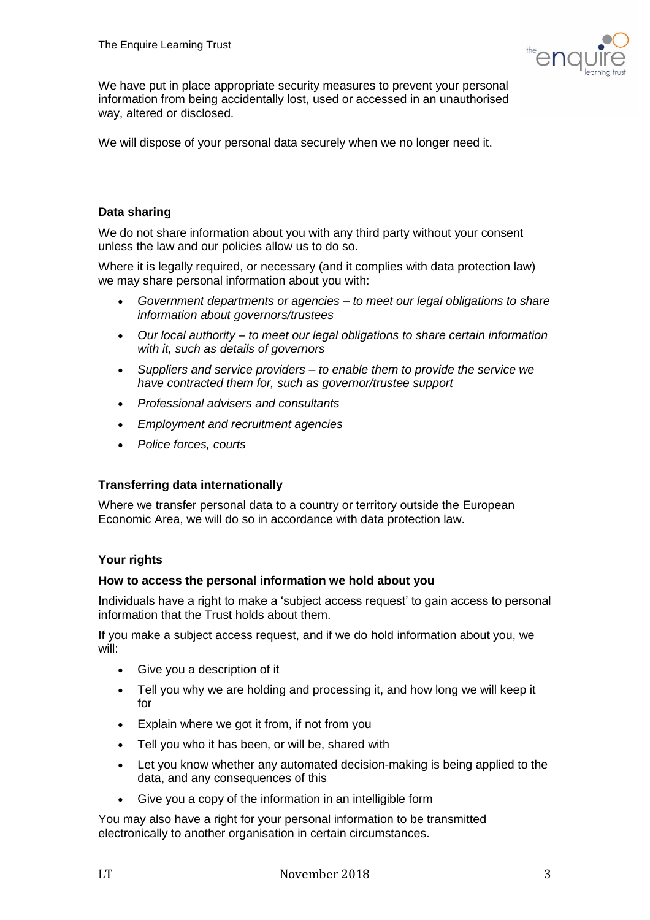

We have put in place appropriate security measures to prevent your personal information from being accidentally lost, used or accessed in an unauthorised way, altered or disclosed.

We will dispose of your personal data securely when we no longer need it.

# **Data sharing**

We do not share information about you with any third party without your consent unless the law and our policies allow us to do so.

Where it is legally required, or necessary (and it complies with data protection law) we may share personal information about you with:

- *Government departments or agencies – to meet our legal obligations to share information about governors/trustees*
- *Our local authority – to meet our legal obligations to share certain information with it, such as details of governors*
- *Suppliers and service providers – to enable them to provide the service we have contracted them for, such as governor/trustee support*
- *Professional advisers and consultants*
- *Employment and recruitment agencies*
- *Police forces, courts*

# **Transferring data internationally**

Where we transfer personal data to a country or territory outside the European Economic Area, we will do so in accordance with data protection law.

## **Your rights**

## **How to access the personal information we hold about you**

Individuals have a right to make a 'subject access request' to gain access to personal information that the Trust holds about them.

If you make a subject access request, and if we do hold information about you, we will:

- Give you a description of it
- Tell you why we are holding and processing it, and how long we will keep it for
- Explain where we got it from, if not from you
- Tell you who it has been, or will be, shared with
- Let you know whether any automated decision-making is being applied to the data, and any consequences of this
- Give you a copy of the information in an intelligible form

You may also have a right for your personal information to be transmitted electronically to another organisation in certain circumstances.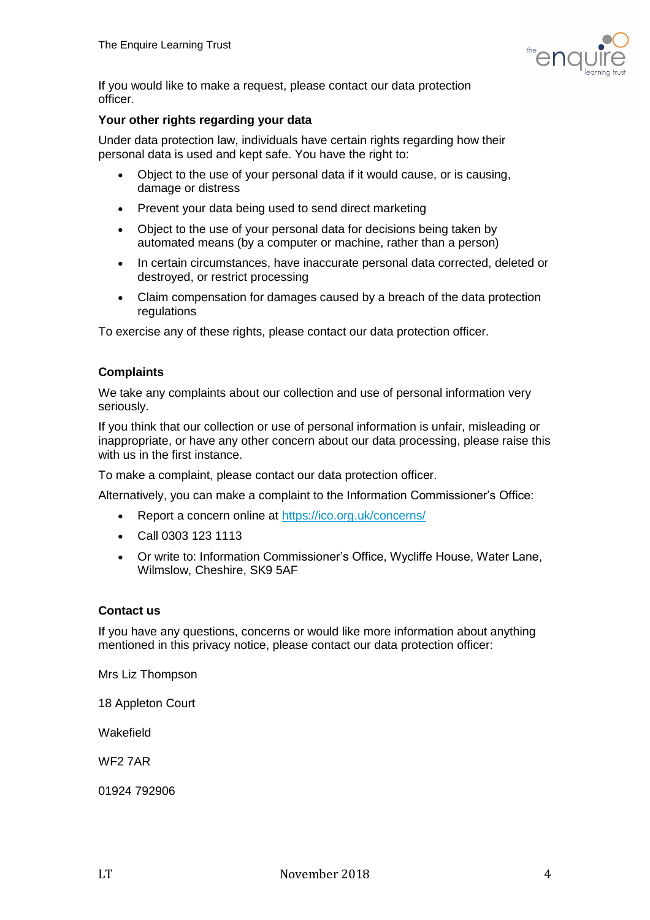

If you would like to make a request, please contact our data protection officer.

## **Your other rights regarding your data**

Under data protection law, individuals have certain rights regarding how their personal data is used and kept safe. You have the right to:

- Object to the use of your personal data if it would cause, or is causing, damage or distress
- Prevent your data being used to send direct marketing
- Object to the use of your personal data for decisions being taken by automated means (by a computer or machine, rather than a person)
- In certain circumstances, have inaccurate personal data corrected, deleted or destroyed, or restrict processing
- Claim compensation for damages caused by a breach of the data protection regulations

To exercise any of these rights, please contact our data protection officer.

## **Complaints**

We take any complaints about our collection and use of personal information very seriously.

If you think that our collection or use of personal information is unfair, misleading or inappropriate, or have any other concern about our data processing, please raise this with us in the first instance.

To make a complaint, please contact our data protection officer.

Alternatively, you can make a complaint to the Information Commissioner's Office:

- Report a concern online at<https://ico.org.uk/concerns/>
- Call 0303 123 1113
- Or write to: Information Commissioner's Office, Wycliffe House, Water Lane, Wilmslow, Cheshire, SK9 5AF

## **Contact us**

If you have any questions, concerns or would like more information about anything mentioned in this privacy notice, please contact our data protection officer:

Mrs Liz Thompson

18 Appleton Court

Wakefield

WF2 7AR

01924 792906